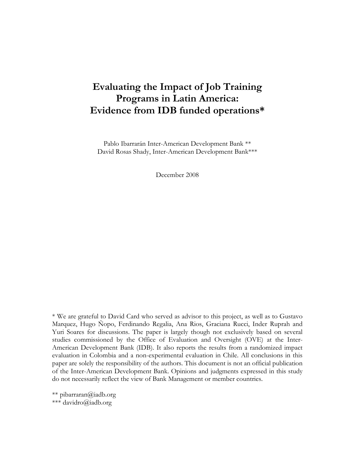# **Evaluating the Impact of Job Training Programs in Latin America: Evidence from IDB funded operations\***

Pablo Ibarrarán Inter-American Development Bank \*\* David Rosas Shady, Inter-American Development Bank\*\*\*

December 2008

\* We are grateful to David Card who served as advisor to this project, as well as to Gustavo Marquez, Hugo Ñopo, Ferdinando Regalia, Ana Rios, Graciana Rucci, Inder Ruprah and Yuri Soares for discussions. The paper is largely though not exclusively based on several studies commissioned by the Office of Evaluation and Oversight (OVE) at the Inter-American Development Bank (IDB). It also reports the results from a randomized impact evaluation in Colombia and a non-experimental evaluation in Chile. All conclusions in this paper are solely the responsibility of the authors. This document is not an official publication of the Inter-American Development Bank. Opinions and judgments expressed in this study do not necessarily reflect the view of Bank Management or member countries.

\*\* pibarraran@iadb.org \*\*\* davidro@iadb.org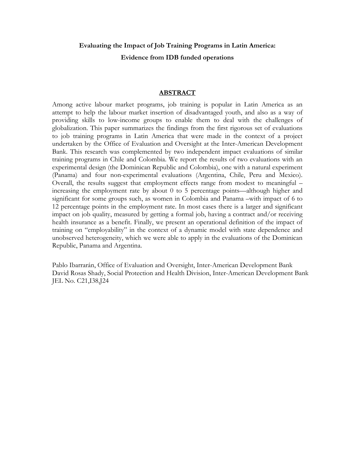**Evaluating the Impact of Job Training Programs in Latin America: Evidence from IDB funded operations** 

# **ABSTRACT**

Among active labour market programs, job training is popular in Latin America as an attempt to help the labour market insertion of disadvantaged youth, and also as a way of providing skills to low-income groups to enable them to deal with the challenges of globalization. This paper summarizes the findings from the first rigorous set of evaluations to job training programs in Latin America that were made in the context of a project undertaken by the Office of Evaluation and Oversight at the Inter-American Development Bank. This research was complemented by two independent impact evaluations of similar training programs in Chile and Colombia. We report the results of two evaluations with an experimental design (the Dominican Republic and Colombia), one with a natural experiment (Panama) and four non-experimental evaluations (Argentina, Chile, Peru and Mexico). Overall, the results suggest that employment effects range from modest to meaningful – increasing the employment rate by about 0 to 5 percentage points—although higher and significant for some groups such, as women in Colombia and Panama –with impact of 6 to 12 percentage points in the employment rate. In most cases there is a larger and significant impact on job quality, measured by getting a formal job, having a contract and/or receiving health insurance as a benefit. Finally, we present an operational definition of the impact of training on "employability" in the context of a dynamic model with state dependence and unobserved heterogeneity, which we were able to apply in the evaluations of the Dominican Republic, Panama and Argentina.

Pablo Ibarrarán, Office of Evaluation and Oversight, Inter-American Development Bank David Rosas Shady, Social Protection and Health Division, Inter-American Development Bank JEL No. C21,I38,J24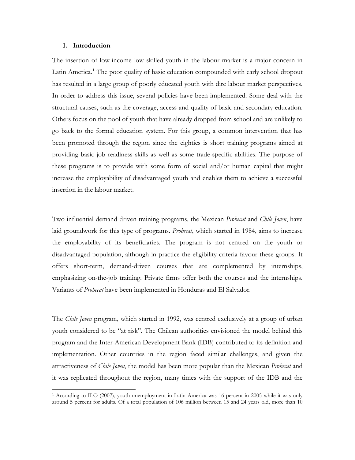#### **1. Introduction**

l

The insertion of low-income low skilled youth in the labour market is a major concern in Latin America.<sup>[1](#page-2-0)</sup> The poor quality of basic education compounded with early school dropout has resulted in a large group of poorly educated youth with dire labour market perspectives. In order to address this issue, several policies have been implemented. Some deal with the structural causes, such as the coverage, access and quality of basic and secondary education. Others focus on the pool of youth that have already dropped from school and are unlikely to go back to the formal education system. For this group, a common intervention that has been promoted through the region since the eighties is short training programs aimed at providing basic job readiness skills as well as some trade-specific abilities. The purpose of these programs is to provide with some form of social and/or human capital that might increase the employability of disadvantaged youth and enables them to achieve a successful insertion in the labour market.

Two influential demand driven training programs, the Mexican *Probecat* and *Chile Joven*, have laid groundwork for this type of programs. *Probecat*, which started in 1984, aims to increase the employability of its beneficiaries. The program is not centred on the youth or disadvantaged population, although in practice the eligibility criteria favour these groups. It offers short-term, demand-driven courses that are complemented by internships, emphasizing on-the-job training. Private firms offer both the courses and the internships. Variants of *Probecat* have been implemented in Honduras and El Salvador.

The *Chile Joven* program, which started in 1992, was centred exclusively at a group of urban youth considered to be "at risk". The Chilean authorities envisioned the model behind this program and the Inter-American Development Bank (IDB) contributed to its definition and implementation. Other countries in the region faced similar challenges, and given the attractiveness of *Chile Joven*, the model has been more popular than the Mexican *Probecat* and it was replicated throughout the region, many times with the support of the IDB and the

<span id="page-2-0"></span><sup>1</sup> According to ILO (2007), youth unemployment in Latin America was 16 percent in 2005 while it was only around 5 percent for adults. Of a total population of 106 million between 15 and 24 years old, more than 10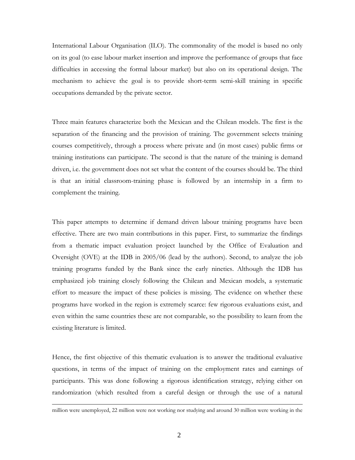International Labour Organisation (ILO). The commonality of the model is based no only on its goal (to ease labour market insertion and improve the performance of groups that face difficulties in accessing the formal labour market) but also on its operational design. The mechanism to achieve the goal is to provide short-term semi-skill training in specific occupations demanded by the private sector.

Three main features characterize both the Mexican and the Chilean models. The first is the separation of the financing and the provision of training. The government selects training courses competitively, through a process where private and (in most cases) public firms or training institutions can participate. The second is that the nature of the training is demand driven, i.e. the government does not set what the content of the courses should be. The third is that an initial classroom-training phase is followed by an internship in a firm to complement the training.

This paper attempts to determine if demand driven labour training programs have been effective. There are two main contributions in this paper. First, to summarize the findings from a thematic impact evaluation project launched by the Office of Evaluation and Oversight (OVE) at the IDB in 2005/06 (lead by the authors). Second, to analyze the job training programs funded by the Bank since the early nineties. Although the IDB has emphasized job training closely following the Chilean and Mexican models, a systematic effort to measure the impact of these policies is missing. The evidence on whether these programs have worked in the region is extremely scarce: few rigorous evaluations exist, and even within the same countries these are not comparable, so the possibility to learn from the existing literature is limited.

Hence, the first objective of this thematic evaluation is to answer the traditional evaluative questions, in terms of the impact of training on the employment rates and earnings of participants. This was done following a rigorous identification strategy, relying either on randomization (which resulted from a careful design or through the use of a natural

million were unemployed, 22 million were not working nor studying and around 30 million were working in the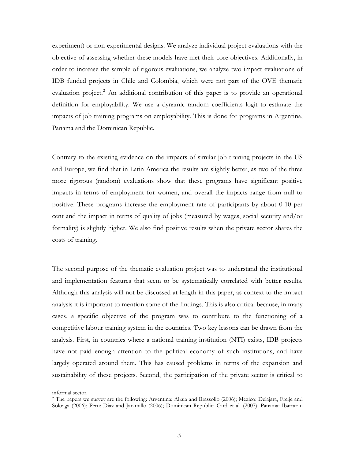experiment) or non-experimental designs. We analyze individual project evaluations with the objective of assessing whether these models have met their core objectives. Additionally, in order to increase the sample of rigorous evaluations, we analyze two impact evaluations of IDB funded projects in Chile and Colombia, which were not part of the OVE thematic evaluation project.<sup>[2](#page-4-0)</sup> An additional contribution of this paper is to provide an operational definition for employability. We use a dynamic random coefficients logit to estimate the impacts of job training programs on employability. This is done for programs in Argentina, Panama and the Dominican Republic.

Contrary to the existing evidence on the impacts of similar job training projects in the US and Europe, we find that in Latin America the results are slightly better, as two of the three more rigorous (random) evaluations show that these programs have significant positive impacts in terms of employment for women, and overall the impacts range from null to positive. These programs increase the employment rate of participants by about 0-10 per cent and the impact in terms of quality of jobs (measured by wages, social security and/or formality) is slightly higher. We also find positive results when the private sector shares the costs of training.

The second purpose of the thematic evaluation project was to understand the institutional and implementation features that seem to be systematically correlated with better results. Although this analysis will not be discussed at length in this paper, as context to the impact analysis it is important to mention some of the findings. This is also critical because, in many cases, a specific objective of the program was to contribute to the functioning of a competitive labour training system in the countries. Two key lessons can be drawn from the analysis. First, in countries where a national training institution (NTI) exists, IDB projects have not paid enough attention to the political economy of such institutions, and have largely operated around them. This has caused problems in terms of the expansion and sustainability of these projects. Second, the participation of the private sector is critical to

informal sector.

<span id="page-4-0"></span><sup>2</sup> The papers we survey are the following: Argentina: Alzua and Brassolio (2006); Mexico: Delajara, Freije and Soloaga (2006); Peru: Diaz and Jaramillo (2006); Dominican Republic: Card et al. (2007); Panama: Ibarraran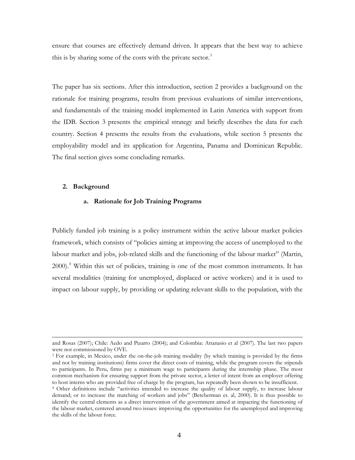<span id="page-5-0"></span>ensure that courses are effectively demand driven. It appears that the best way to achieve this is by sharing some of the costs with the private sector.<sup>[3](#page-5-0)</sup>

The paper has six sections. After this introduction, section 2 provides a background on the rationale for training programs, results from previous evaluations of similar interventions, and fundamentals of the training model implemented in Latin America with support from the IDB. Section 3 presents the empirical strategy and briefly describes the data for each country. Section 4 presents the results from the evaluations, while section 5 presents the employability model and its application for Argentina, Panama and Dominican Republic. The final section gives some concluding remarks.

#### **2. Background**

l

# **a. Rationale for Job Training Programs**

Publicly funded job training is a policy instrument within the active labour market policies framework, which consists of "policies aiming at improving the access of unemployed to the labour market and jobs, job-related skills and the functioning of the labour market" (Martin, 2000).<sup>[4](#page-5-0)</sup> Within this set of policies, training is one of the most common instruments. It has several modalities (training for unemployed, displaced or active workers) and it is used to impact on labour supply, by providing or updating relevant skills to the population, with the

and Rosas (2007); Chile: Aedo and Pizarro (2004); and Colombia: Attanasio et al (2007). The last two papers were not commissioned by OVE.

<sup>3</sup> For example, in Mexico, under the on-the-job training modality (by which training is provided by the firms and not by training institutions) firms cover the direct costs of training, while the program covers the stipends to participants. In Peru, firms pay a minimum wage to participants during the internship phase. The most common mechanism for ensuring support from the private sector, a letter of intent from an employer offering to host interns who are provided free of charge by the program, has repeatedly been shown to be insufficient. 4 Other definitions include "activities intended to increase the quality of labour supply, to increase labour demand; or to increase the matching of workers and jobs" (Betcherman et. al, 2000). It is thus possible to identify the central elements as a direct intervention of the government aimed at impacting the functioning of the labour market, centered around two issues: improving the opportunities for the unemployed and improving the skills of the labour force.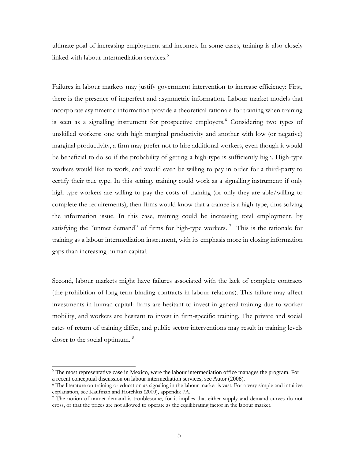<span id="page-6-0"></span>ultimate goal of increasing employment and incomes. In some cases, training is also closely linked with labour-intermediation services.<sup>[5](#page-6-0)</sup>

Failures in labour markets may justify government intervention to increase efficiency: First, there is the presence of imperfect and asymmetric information. Labour market models that incorporate asymmetric information provide a theoretical rationale for training when training is seen as a signalling instrument for prospective employers.<sup>[6](#page-6-0)</sup> Considering two types of unskilled workers: one with high marginal productivity and another with low (or negative) marginal productivity, a firm may prefer not to hire additional workers, even though it would be beneficial to do so if the probability of getting a high-type is sufficiently high. High-type workers would like to work, and would even be willing to pay in order for a third-party to certify their true type. In this setting, training could work as a signalling instrument: if only high-type workers are willing to pay the costs of training (or only they are able/willing to complete the requirements), then firms would know that a trainee is a high-type, thus solving the information issue. In this case, training could be increasing total employment, by satisfying the "unmet demand" of firms for high-type workers.<sup>[7](#page-6-0)</sup> This is the rationale for training as a labour intermediation instrument, with its emphasis more in closing information gaps than increasing human capital.

Second, labour markets might have failures associated with the lack of complete contracts (the prohibition of long-term binding contracts in labour relations). This failure may affect investments in human capital: firms are hesitant to invest in general training due to worker mobility, and workers are hesitant to invest in firm-specific training. The private and social rates of return of training differ, and public sector interventions may result in training levels closer to the social optimum.<sup>[8](#page-6-0)</sup>

<sup>&</sup>lt;sup>5</sup> The most representative case in Mexico, were the labour intermediation office manages the program. For a recent conceptual discussion on labour intermediation services, see Autor (2008).

<sup>6</sup> The literature on training or education as signaling in the labour market is vast. For a very simple and intuitive explanation, see Kaufman and Hotchkis (2000), appendix 7A.

<sup>7</sup> The notion of unmet demand is troublesome, for it implies that either supply and demand curves do not cross, or that the prices are not allowed to operate as the equilibrating factor in the labour market.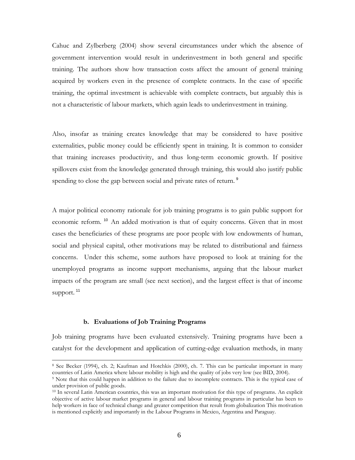<span id="page-7-0"></span>Cahuc and Zylberberg (2004) show several circumstances under which the absence of government intervention would result in underinvestment in both general and specific training. The authors show how transaction costs affect the amount of general training acquired by workers even in the presence of complete contracts. In the case of specific training, the optimal investment is achievable with complete contracts, but arguably this is not a characteristic of labour markets, which again leads to underinvestment in training.

Also, insofar as training creates knowledge that may be considered to have positive externalities, public money could be efficiently spent in training. It is common to consider that training increases productivity, and thus long-term economic growth. If positive spillovers exist from the knowledge generated through training, this would also justify public spending to close the gap between social and private rates of return.<sup>[9](#page-7-0)</sup>

A major political economy rationale for job training programs is to gain public support for economic reform.<sup>[10](#page-7-0)</sup> An added motivation is that of equity concerns. Given that in most cases the beneficiaries of these programs are poor people with low endowments of human, social and physical capital, other motivations may be related to distributional and fairness concerns. Under this scheme, some authors have proposed to look at training for the unemployed programs as income support mechanisms, arguing that the labour market impacts of the program are small (see next section), and the largest effect is that of income support.<sup>[11](#page-7-0)</sup>

# **b. Evaluations of Job Training Programs**

l

Job training programs have been evaluated extensively. Training programs have been a catalyst for the development and application of cutting-edge evaluation methods, in many

<sup>8</sup> See Becker (1994), ch. 2; Kaufman and Hotchkis (2000), ch. 7. This can be particular important in many countries of Latin America where labour mobility is high and the quality of jobs very low (see BID, 2004). 9 Note that this could happen in addition to the failure due to incomplete contracts. This is the typical case of

under provision of public goods.

<sup>10</sup> In several Latin American countries, this was an important motivation for this type of programs. An explicit objective of active labour market programs in general and labour training programs in particular has been to help workers in face of technical change and greater competition that result from globalization This motivation is mentioned explicitly and importantly in the Labour Programs in Mexico, Argentina and Paraguay.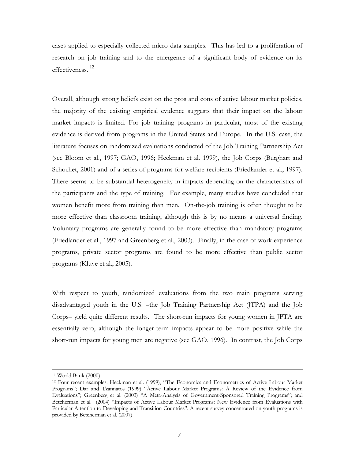<span id="page-8-0"></span>cases applied to especially collected micro data samples. This has led to a proliferation of research on job training and to the emergence of a significant body of evidence on its effectiveness. [12](#page-8-0)

Overall, although strong beliefs exist on the pros and cons of active labour market policies, the majority of the existing empirical evidence suggests that their impact on the labour market impacts is limited. For job training programs in particular, most of the existing evidence is derived from programs in the United States and Europe. In the U.S. case, the literature focuses on randomized evaluations conducted of the Job Training Partnership Act (see Bloom et al., 1997; GAO, 1996; Heckman et al. 1999), the Job Corps (Burghart and Schochet, 2001) and of a series of programs for welfare recipients (Friedlander et al., 1997). There seems to be substantial heterogeneity in impacts depending on the characteristics of the participants and the type of training. For example, many studies have concluded that women benefit more from training than men. On-the-job training is often thought to be more effective than classroom training, although this is by no means a universal finding. Voluntary programs are generally found to be more effective than mandatory programs (Friedlander et al., 1997 and Greenberg et al., 2003). Finally, in the case of work experience programs, private sector programs are found to be more effective than public sector programs (Kluve et al., 2005).

With respect to youth, randomized evaluations from the two main programs serving disadvantaged youth in the U.S. –the Job Training Partnership Act (JTPA) and the Job Corps– yield quite different results. The short-run impacts for young women in JPTA are essentially zero, although the longer-term impacts appear to be more positive while the short-run impacts for young men are negative (see GAO, 1996). In contrast, the Job Corps

<sup>11</sup> World Bank (2000)

<sup>12</sup> Four recent examples: Heckman et al. (1999), "The Economics and Econometrics of Active Labour Market Programs"; Dar and Tzannatos (1999) "Active Labour Market Programs: A Review of the Evidence from Evaluations"; Greenberg et al. (2003) "A Meta-Analysis of Government-Sponsored Training Programs"; and Betcherman et al. (2004) "Impacts of Active Labour Market Programs: New Evidence from Evaluations with Particular Attention to Developing and Transition Countries". A recent survey concentrated on youth programs is provided by Betcherman et al. (2007)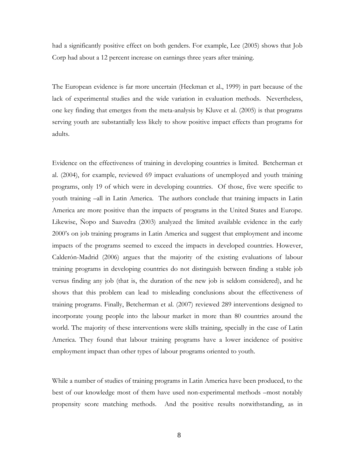had a significantly positive effect on both genders. For example, Lee (2005) shows that Job Corp had about a 12 percent increase on earnings three years after training.

The European evidence is far more uncertain (Heckman et al., 1999) in part because of the lack of experimental studies and the wide variation in evaluation methods. Nevertheless, one key finding that emerges from the meta-analysis by Kluve et al. (2005) is that programs serving youth are substantially less likely to show positive impact effects than programs for adults.

Evidence on the effectiveness of training in developing countries is limited. Betcherman et al. (2004), for example, reviewed 69 impact evaluations of unemployed and youth training programs, only 19 of which were in developing countries. Of those, five were specific to youth training –all in Latin America. The authors conclude that training impacts in Latin America are more positive than the impacts of programs in the United States and Europe. Likewise, Ñopo and Saavedra (2003) analyzed the limited available evidence in the early 2000's on job training programs in Latin America and suggest that employment and income impacts of the programs seemed to exceed the impacts in developed countries. However, Calderón-Madrid (2006) argues that the majority of the existing evaluations of labour training programs in developing countries do not distinguish between finding a stable job versus finding any job (that is, the duration of the new job is seldom considered), and he shows that this problem can lead to misleading conclusions about the effectiveness of training programs. Finally, Betcherman et al. (2007) reviewed 289 interventions designed to incorporate young people into the labour market in more than 80 countries around the world. The majority of these interventions were skills training, specially in the case of Latin America. They found that labour training programs have a lower incidence of positive employment impact than other types of labour programs oriented to youth.

While a number of studies of training programs in Latin America have been produced, to the best of our knowledge most of them have used non-experimental methods –most notably propensity score matching methods. And the positive results notwithstanding, as in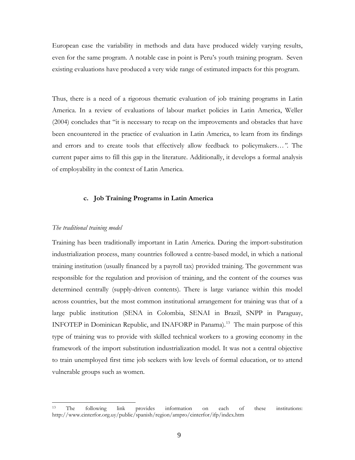<span id="page-10-0"></span>European case the variability in methods and data have produced widely varying results, even for the same program. A notable case in point is Peru's youth training program. Seven existing evaluations have produced a very wide range of estimated impacts for this program.

Thus, there is a need of a rigorous thematic evaluation of job training programs in Latin America. In a review of evaluations of labour market policies in Latin America, Weller (2004) concludes that "it is necessary to recap on the improvements and obstacles that have been encountered in the practice of evaluation in Latin America, to learn from its findings and errors and to create tools that effectively allow feedback to policymakers…*"*. The current paper aims to fill this gap in the literature. Additionally, it develops a formal analysis of employability in the context of Latin America.

# **c. Job Training Programs in Latin America**

#### *The traditional training model*

l

Training has been traditionally important in Latin America. During the import-substitution industrialization process, many countries followed a centre-based model, in which a national training institution (usually financed by a payroll tax) provided training. The government was responsible for the regulation and provision of training, and the content of the courses was determined centrally (supply-driven contents). There is large variance within this model across countries, but the most common institutional arrangement for training was that of a large public institution (SENA in Colombia, SENAI in Brazil, SNPP in Paraguay, INFOTEP in Dominican Republic, and INAFORP in Panama).<sup>[13](#page-10-0)</sup> The main purpose of this type of training was to provide with skilled technical workers to a growing economy in the framework of the import substitution industrialization model. It was not a central objective to train unemployed first time job seekers with low levels of formal education, or to attend vulnerable groups such as women.

<sup>13</sup> The following link provides information on each of these institutions: http://www.cinterfor.org.uy/public/spanish/region/ampro/cinterfor/ifp/index.htm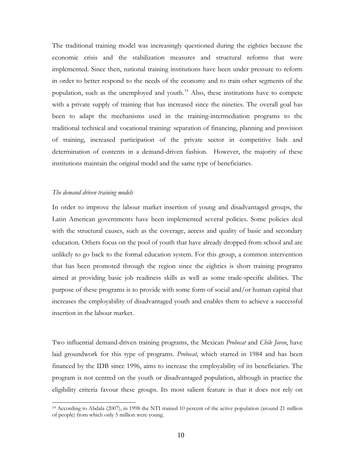<span id="page-11-0"></span>The traditional training model was increasingly questioned during the eighties because the economic crisis and the stabilization measures and structural reforms that were implemented. Since then, national training institutions have been under pressure to reform in order to better respond to the needs of the economy and to train other segments of the population, such as the unemployed and youth.<sup>[14](#page-11-0)</sup> Also, these institutions have to compete with a private supply of training that has increased since the nineties. The overall goal has been to adapt the mechanisms used in the training-intermediation programs to the traditional technical and vocational training: separation of financing, planning and provision of training, increased participation of the private sector in competitive bids and determination of contents in a demand-driven fashion. However, the majority of these institutions maintain the original model and the same type of beneficiaries.

## *The demand driven training models*

l

In order to improve the labour market insertion of young and disadvantaged groups, the Latin American governments have been implemented several policies. Some policies deal with the structural causes, such as the coverage, access and quality of basic and secondary education. Others focus on the pool of youth that have already dropped from school and are unlikely to go back to the formal education system. For this group, a common intervention that has been promoted through the region since the eighties is short training programs aimed at providing basic job readiness skills as well as some trade-specific abilities. The purpose of these programs is to provide with some form of social and/or human capital that increases the employability of disadvantaged youth and enables them to achieve a successful insertion in the labour market.

Two influential demand-driven training programs, the Mexican *Probecat* and *Chile Joven*, have laid groundwork for this type of programs. *Probecat*, which started in 1984 and has been financed by the IDB since 1996, aims to increase the employability of its beneficiaries. The program is not centred on the youth or disadvantaged population, although in practice the eligibility criteria favour these groups. Its most salient feature is that it does not rely on

<sup>14</sup> According to Abdala (2007), in 1998 the NTI trained 10 percent of the active population (around 21 million of people) from which only 5 million were young.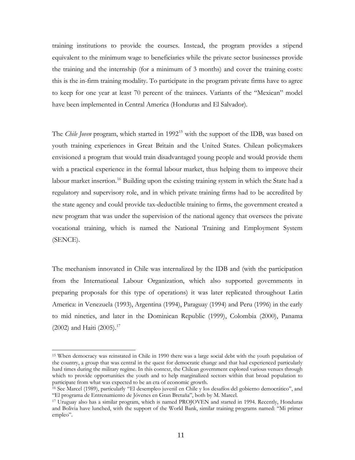<span id="page-12-0"></span>training institutions to provide the courses. Instead, the program provides a stipend equivalent to the minimum wage to beneficiaries while the private sector businesses provide the training and the internship (for a minimum of 3 months) and cover the training costs: this is the in-firm training modality. To participate in the program private firms have to agree to keep for one year at least 70 percent of the trainees. Variants of the "Mexican" model have been implemented in Central America (Honduras and El Salvador).

The *Chile Joven* program, which started in 1992<sup>[15](#page-12-0)</sup> with the support of the IDB, was based on youth training experiences in Great Britain and the United States. Chilean policymakers envisioned a program that would train disadvantaged young people and would provide them with a practical experience in the formal labour market, thus helping them to improve their labour market insertion.<sup>[16](#page-12-0)</sup> Building upon the existing training system in which the State had a regulatory and supervisory role, and in which private training firms had to be accredited by the state agency and could provide tax-deductible training to firms, the government created a new program that was under the supervision of the national agency that oversees the private vocational training, which is named the National Training and Employment System (SENCE).

The mechanism innovated in Chile was internalized by the IDB and (with the participation from the International Labour Organization, which also supported governments in preparing proposals for this type of operations) it was later replicated throughout Latin America: in Venezuela (1993), Argentina (1994), Paraguay (1994) and Peru (1996) in the early to mid nineties, and later in the Dominican Republic (1999), Colombia (2000), Panama  $(2002)$  and Haiti  $(2005).^{17}$  $(2005).^{17}$  $(2005).^{17}$ 

<sup>15</sup> When democracy was reinstated in Chile in 1990 there was a large social debt with the youth population of the country, a group that was central in the quest for democratic change and that had experienced particularly hard times during the military regime. In this context, the Chilean government explored various venues through which to provide opportunities the youth and to help marginalized sectors within that broad population to participate from what was expected to be an era of economic growth.

<sup>&</sup>lt;sup>16</sup> See Marcel (1989), particularly "El desempleo juvenil en Chile y los desafíos del gobierno democrático", and "El programa de Entrenamiento de Jóvenes en Gran Bretaña", both by M. Marcel.

<sup>&</sup>lt;sup>17</sup> Uruguay also has a similar program, which is named PROJOVEN and started in 1994. Recently, Honduras and Bolivia have lunched, with the support of the World Bank, similar training programs named: "Mi primer empleo".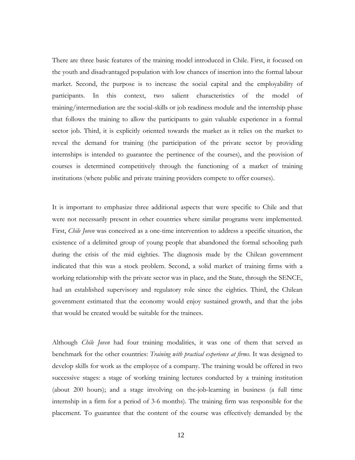There are three basic features of the training model introduced in Chile. First, it focused on the youth and disadvantaged population with low chances of insertion into the formal labour market. Second, the purpose is to increase the social capital and the employability of participants. In this context, two salient characteristics of the model of training/intermediation are the social-skills or job readiness module and the internship phase that follows the training to allow the participants to gain valuable experience in a formal sector job. Third, it is explicitly oriented towards the market as it relies on the market to reveal the demand for training (the participation of the private sector by providing internships is intended to guarantee the pertinence of the courses), and the provision of courses is determined competitively through the functioning of a market of training institutions (where public and private training providers compete to offer courses).

It is important to emphasize three additional aspects that were specific to Chile and that were not necessarily present in other countries where similar programs were implemented. First, *Chile Joven* was conceived as a one-time intervention to address a specific situation, the existence of a delimited group of young people that abandoned the formal schooling path during the crisis of the mid eighties. The diagnosis made by the Chilean government indicated that this was a stock problem. Second, a solid market of training firms with a working relationship with the private sector was in place, and the State, through the SENCE, had an established supervisory and regulatory role since the eighties. Third, the Chilean government estimated that the economy would enjoy sustained growth, and that the jobs that would be created would be suitable for the trainees.

Although *Chile Joven* had four training modalities, it was one of them that served as benchmark for the other countries: *Training with practical experience at firms*. It was designed to develop skills for work as the employee of a company. The training would be offered in two successive stages: a stage of working training lectures conducted by a training institution (about 200 hours); and a stage involving on the-job-learning in business (a full time internship in a firm for a period of 3-6 months). The training firm was responsible for the placement. To guarantee that the content of the course was effectively demanded by the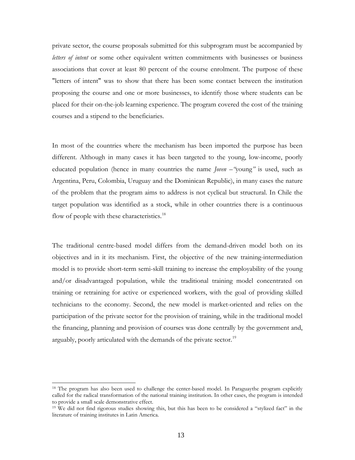<span id="page-14-0"></span>private sector, the course proposals submitted for this subprogram must be accompanied by *letters of intent* or some other equivalent written commitments with businesses or business associations that cover at least 80 percent of the course enrolment. The purpose of these "letters of intent" was to show that there has been some contact between the institution proposing the course and one or more businesses, to identify those where students can be placed for their on-the-job learning experience. The program covered the cost of the training courses and a stipend to the beneficiaries.

In most of the countries where the mechanism has been imported the purpose has been different. Although in many cases it has been targeted to the young, low-income, poorly educated population (hence in many countries the name *Joven –"*young*"* is used, such as Argentina, Peru, Colombia, Uruguay and the Dominican Republic), in many cases the nature of the problem that the program aims to address is not cyclical but structural. In Chile the target population was identified as a stock, while in other countries there is a continuous flow of people with these characteristics.<sup>[18](#page-14-0)</sup>

The traditional centre-based model differs from the demand-driven model both on its objectives and in it its mechanism. First, the objective of the new training-intermediation model is to provide short-term semi-skill training to increase the employability of the young and/or disadvantaged population, while the traditional training model concentrated on training or retraining for active or experienced workers, with the goal of providing skilled technicians to the economy. Second, the new model is market-oriented and relies on the participation of the private sector for the provision of training, while in the traditional model the financing, planning and provision of courses was done centrally by the government and, arguably, poorly articulated with the demands of the private sector.<sup>[19](#page-14-0)</sup>

<sup>&</sup>lt;sup>18</sup> The program has also been used to challenge the center-based model. In Paraguaythe program explicitly called for the radical transformation of the national training institution. In other cases, the program is intended to provide a small scale demonstrative effect.

<sup>19</sup> We did not find rigorous studies showing this, but this has been to be considered a "stylized fact" in the literature of training institutes in Latin America.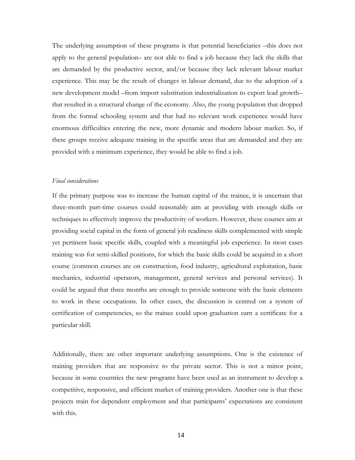The underlying assumption of these programs is that potential beneficiaries –this does not apply to the general population– are not able to find a job because they lack the skills that are demanded by the productive sector, and/or because they lack relevant labour market experience. This may be the result of changes in labour demand, due to the adoption of a new development model –from import substitution industrialization to export lead growth– that resulted in a structural change of the economy. Also, the young population that dropped from the formal schooling system and that had no relevant work experience would have enormous difficulties entering the new, more dynamic and modern labour market. So, if these groups receive adequate training in the specific areas that are demanded and they are provided with a minimum experience, they would be able to find a job.

#### *Final considerations*

If the primary purpose was to increase the human capital of the trainee, it is uncertain that three-month part-time courses could reasonably aim at providing with enough skills or techniques to effectively improve the productivity of workers. However, these courses aim at providing social capital in the form of general job readiness skills complemented with simple yet pertinent basic specific skills, coupled with a meaningful job experience. In most cases training was for semi-skilled positions, for which the basic skills could be acquired in a short course (common courses are on construction, food industry, agricultural exploitation, basic mechanics, industrial operators, management, general services and personal services). It could be argued that three months are enough to provide someone with the basic elements to work in these occupations. In other cases, the discussion is centred on a system of certification of competencies, so the trainee could upon graduation earn a certificate for a particular skill.

Additionally, there are other important underlying assumptions. One is the existence of training providers that are responsive to the private sector. This is not a minor point, because in some countries the new programs have been used as an instrument to develop a competitive, responsive, and efficient market of training providers. Another one is that these projects train for dependent employment and that participants' expectations are consistent with this.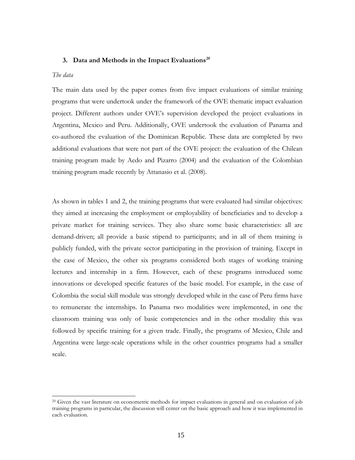#### <span id="page-16-0"></span>**3. Data and Methods in the Impact Evaluations[20](#page-16-0)**

#### *The data*

l

The main data used by the paper comes from five impact evaluations of similar training programs that were undertook under the framework of the OVE thematic impact evaluation project. Different authors under OVE's supervision developed the project evaluations in Argentina, Mexico and Peru. Additionally, OVE undertook the evaluation of Panama and co-authored the evaluation of the Dominican Republic. These data are completed by two additional evaluations that were not part of the OVE project: the evaluation of the Chilean training program made by Aedo and Pizarro (2004) and the evaluation of the Colombian training program made recently by Attanasio et al. (2008).

As shown in tables 1 and 2, the training programs that were evaluated had similar objectives: they aimed at increasing the employment or employability of beneficiaries and to develop a private market for training services. They also share some basic characteristics: all are demand-driven; all provide a basic stipend to participants; and in all of them training is publicly funded, with the private sector participating in the provision of training. Except in the case of Mexico, the other six programs considered both stages of working training lectures and internship in a firm. However, each of these programs introduced some innovations or developed specific features of the basic model. For example, in the case of Colombia the social skill module was strongly developed while in the case of Peru firms have to remunerate the internships. In Panama two modalities were implemented, in one the classroom training was only of basic competencies and in the other modality this was followed by specific training for a given trade. Finally, the programs of Mexico, Chile and Argentina were large-scale operations while in the other countries programs had a smaller scale.

<sup>&</sup>lt;sup>20</sup> Given the vast literature on econometric methods for impact evaluations in general and on evaluation of job training programs in particular, the discussion will center on the basic approach and how it was implemented in each evaluation.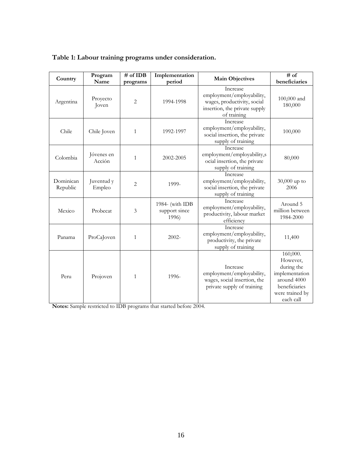| Country               | Program              | # of IDB     | Implementation                            | <b>Main Objectives</b>                                                                                               | # of                                                                                                                 |
|-----------------------|----------------------|--------------|-------------------------------------------|----------------------------------------------------------------------------------------------------------------------|----------------------------------------------------------------------------------------------------------------------|
|                       | Name                 | programs     | period                                    |                                                                                                                      | beneficiaries                                                                                                        |
| Argentina             | Proyecto<br>Joven    | 2            | 1994-1998                                 | Increase<br>employment/employability,<br>wages, productivity, social<br>insertion, the private supply<br>of training | 100,000 and<br>180,000                                                                                               |
| Chile                 | Chile Joven          | $\mathbf{1}$ | 1992-1997                                 | Increase<br>employment/employability,<br>social insertion, the private<br>supply of training                         | 100,000                                                                                                              |
| Colombia              | Jóvenes en<br>Acción | $\mathbf{1}$ | 2002-2005                                 | Increase<br>employment/employability,s<br>ocial insertion, the private<br>supply of training                         | 80,000                                                                                                               |
| Dominican<br>Republic | Juventud y<br>Empleo | 2            | 1999-                                     | Increase<br>employment/employability,<br>social insertion, the private<br>supply of training                         | 30,000 up to<br>2006                                                                                                 |
| Mexico                | Probecat             | 3            | 1984- (with IDB<br>support since<br>1996) | Increase<br>employment/employability,<br>productivity, labour market<br>efficiency                                   | Around 5<br>million between<br>1984-2000                                                                             |
| Panama                | ProCaJoven           | $\mathbf{1}$ | 2002-                                     | Increase<br>employment/employability,<br>productivity, the private<br>supply of training                             | 11,400                                                                                                               |
| Peru                  | Projoven             | $\mathbf{1}$ | 1996-                                     | Increase<br>employment/employability,<br>wages, social insertion, the<br>private supply of training                  | 160,000.<br>However,<br>during the<br>implementation<br>around 4000<br>beneficiaries<br>were trained by<br>each call |

**Table 1: Labour training programs under consideration.** 

**Notes:** Sample restricted to IDB programs that started before 2004.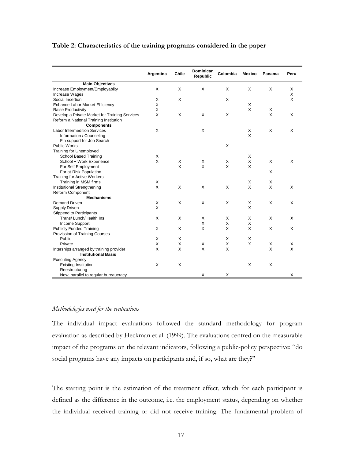|  |  | Table 2: Characteristics of the training programs considered in the paper |  |
|--|--|---------------------------------------------------------------------------|--|
|  |  |                                                                           |  |

|                                                | Argentina | <b>Chile</b> | <b>Dominican</b><br>Republic | Colombia | <b>Mexico</b> | Panama | Peru |
|------------------------------------------------|-----------|--------------|------------------------------|----------|---------------|--------|------|
| <b>Main Objectives</b>                         |           |              |                              |          |               |        |      |
| Increase Employment/Employablity               | X         | X            | X                            | X        | X             | X      | X    |
| Increase Wages                                 |           |              |                              |          |               |        | X    |
| Social Insertion                               | X         | X            |                              | X        |               |        | X    |
| Enhance Labor Market Efficiency                | X         |              |                              |          | X             |        |      |
| <b>Raise Productivity</b>                      | X         |              |                              |          | X             | X      |      |
| Develop a Private Market for Training Services | X         | X            | X                            | X        |               | X      | X    |
| Reform a National Training Institution         |           |              |                              |          |               |        |      |
| <b>Components</b>                              |           |              |                              |          |               |        |      |
| <b>Labor Intermedition Services</b>            | X         |              | X                            |          | X             | X      | X    |
| Information / Counseling                       |           |              |                              |          | X             |        |      |
| Fin support for Job Search                     |           |              |                              |          |               |        |      |
| <b>Public Works</b>                            |           |              |                              | X        |               |        |      |
| <b>Training for Unemployed</b>                 |           |              |                              |          |               |        |      |
| <b>School Based Training</b>                   | X         |              |                              |          | X             |        |      |
| School + Work Experience                       | X         | X            | X                            | X        | X             | X      | X    |
| For Self Employment                            |           | X            | X                            | X        | X             |        |      |
| For at-Risk Population                         |           |              |                              |          |               | X      |      |
| <b>Training for Active Workers</b>             |           |              |                              |          |               |        |      |
| Training in MSM firms                          | X         |              |                              |          | X             | X      |      |
| Institutional Strengthening                    | $\times$  | X            | X                            | X        | X             | X      | X    |
| Reform Component                               |           |              |                              |          |               |        |      |
| <b>Mechanisms</b>                              |           |              |                              |          |               |        |      |
| <b>Demand Driven</b>                           | X         | X            | X                            | X        | X             | X      | X    |
| <b>Supply Driven</b>                           | X         |              |                              |          | X             |        |      |
| <b>Stippend to Participants</b>                |           |              |                              |          |               |        |      |
| Trans/ Lunch/Health Ins                        | X         | $\times$     | X                            | X        | X             | X      | X    |
| Income Support                                 |           |              | X                            | X        | X             |        |      |
| <b>Publicly Funded Training</b>                | X         | X            | X                            | X        | X             | X      | X    |
| Provission of Training Courses                 |           |              |                              |          |               |        |      |
| Public                                         | X         | X            |                              | X        | X             |        |      |
| Private                                        | X         | X            | X                            | X        | X             | X      | X    |
| Interships arranged by training provider       | X         | X            | X                            | X        |               | X      | X    |
| <b>Institutional Basis</b>                     |           |              |                              |          |               |        |      |
| <b>Executing Agency</b>                        |           |              |                              |          |               |        |      |
| <b>Existing Institution</b>                    | X         | X            |                              |          | X             | X      |      |
| Reestructuring                                 |           |              |                              |          |               |        |      |
| New, parallel to regular bureaucracy           |           |              | X                            | X        |               |        | X    |

# *Methodologies used for the evaluations*

The individual impact evaluations followed the standard methodology for program evaluation as described by Heckman et al. (1999). The evaluations centred on the measurable impact of the programs on the relevant indicators, following a public-policy perspective: "do social programs have any impacts on participants and, if so, what are they?"

The starting point is the estimation of the treatment effect, which for each participant is defined as the difference in the outcome, i.e. the employment status, depending on whether the individual received training or did not receive training. The fundamental problem of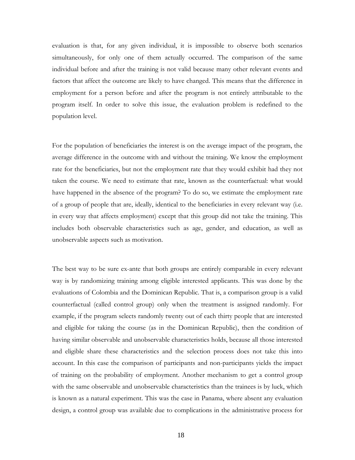evaluation is that, for any given individual, it is impossible to observe both scenarios simultaneously, for only one of them actually occurred. The comparison of the same individual before and after the training is not valid because many other relevant events and factors that affect the outcome are likely to have changed. This means that the difference in employment for a person before and after the program is not entirely attributable to the program itself. In order to solve this issue, the evaluation problem is redefined to the population level.

For the population of beneficiaries the interest is on the average impact of the program, the average difference in the outcome with and without the training. We know the employment rate for the beneficiaries, but not the employment rate that they would exhibit had they not taken the course. We need to estimate that rate, known as the counterfactual: what would have happened in the absence of the program? To do so, we estimate the employment rate of a group of people that are, ideally, identical to the beneficiaries in every relevant way (i.e. in every way that affects employment) except that this group did not take the training. This includes both observable characteristics such as age, gender, and education, as well as unobservable aspects such as motivation.

The best way to be sure ex-ante that both groups are entirely comparable in every relevant way is by randomizing training among eligible interested applicants. This was done by the evaluations of Colombia and the Dominican Republic. That is, a comparison group is a valid counterfactual (called control group) only when the treatment is assigned randomly. For example, if the program selects randomly twenty out of each thirty people that are interested and eligible for taking the course (as in the Dominican Republic), then the condition of having similar observable and unobservable characteristics holds, because all those interested and eligible share these characteristics and the selection process does not take this into account. In this case the comparison of participants and non-participants yields the impact of training on the probability of employment. Another mechanism to get a control group with the same observable and unobservable characteristics than the trainees is by luck, which is known as a natural experiment. This was the case in Panama, where absent any evaluation design, a control group was available due to complications in the administrative process for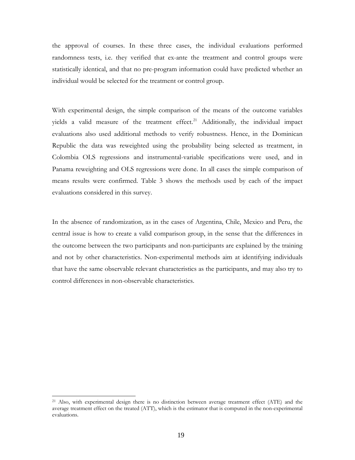<span id="page-20-0"></span>the approval of courses. In these three cases, the individual evaluations performed randomness tests, i.e. they verified that ex-ante the treatment and control groups were statistically identical, and that no pre-program information could have predicted whether an individual would be selected for the treatment or control group.

With experimental design, the simple comparison of the means of the outcome variables yields a valid measure of the treatment effect.<sup>21</sup> Additionally, the individual impact evaluations also used additional methods to verify robustness. Hence, in the Dominican Republic the data was reweighted using the probability being selected as treatment, in Colombia OLS regressions and instrumental-variable specifications were used, and in Panama reweighting and OLS regressions were done. In all cases the simple comparison of means results were confirmed. Table 3 shows the methods used by each of the impact evaluations considered in this survey.

In the absence of randomization, as in the cases of Argentina, Chile, Mexico and Peru, the central issue is how to create a valid comparison group, in the sense that the differences in the outcome between the two participants and non-participants are explained by the training and not by other characteristics. Non-experimental methods aim at identifying individuals that have the same observable relevant characteristics as the participants, and may also try to control differences in non-observable characteristics.

 $21$  Also, with experimental design there is no distinction between average treatment effect (ATE) and the average treatment effect on the treated (ATT), which is the estimator that is computed in the non-experimental evaluations.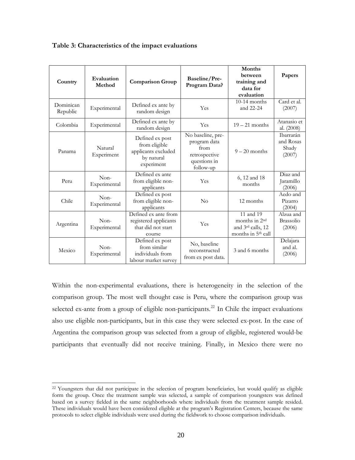<span id="page-21-0"></span>

| Country               | Evaluation<br>Method   | <b>Comparison Group</b>                                                             | <b>Baseline/Pre-</b><br>Program Data?                                                   | Months<br>between<br>training and<br>data for<br>evaluation                                               | Papers                                    |
|-----------------------|------------------------|-------------------------------------------------------------------------------------|-----------------------------------------------------------------------------------------|-----------------------------------------------------------------------------------------------------------|-------------------------------------------|
| Dominican<br>Republic | Experimental           | Defined ex ante by<br>random design                                                 | Yes                                                                                     | $10-14$ months<br>and 22-24                                                                               | Card et al.<br>(2007)                     |
| Colombia              | Experimental           | Defined ex ante by<br>random design                                                 | Yes                                                                                     | $19 - 21$ months                                                                                          | Atanasio et<br>al. (2008)                 |
| Panama                | Natural<br>Experiment  | Defined ex post<br>from eligible<br>applicants excluded<br>by natural<br>experiment | No baseline, pre-<br>program data<br>from<br>retrospective<br>questions in<br>follow-up | $9 - 20$ months                                                                                           | Ibarrarán<br>and Rosas<br>Shady<br>(2007) |
| Peru                  | Non-<br>Experimental   | Defined ex ante<br>from eligible non-<br>applicants                                 | Yes                                                                                     | 6, 12 and 18<br>months                                                                                    | Diaz and<br>Jaramillo<br>(2006)           |
| Chile                 | Non-<br>Experimental   | Defined ex post<br>from eligible non-<br>applicants                                 | No                                                                                      | 12 months                                                                                                 | Aedo and<br>Pizarro<br>(2004)             |
| Argentina             | $Non-$<br>Experimental | Defined ex ante from<br>registered applicants<br>that did not start<br>course       | Yes                                                                                     | 11 and 19<br>months in 2 <sup>nd</sup><br>and 3 <sup>rd</sup> calls, 12<br>months in 5 <sup>th</sup> call | Alzua and<br><b>Brassolio</b><br>(2006)   |
| Mexico                | Non-<br>Experimental   | Defined ex post<br>from similar<br>individuals from<br>labour market survey         | No, baseline<br>reconstructed<br>from ex post data.                                     | 3 and 6 months                                                                                            | Delajara<br>and al.<br>(2006)             |

Within the non-experimental evaluations, there is heterogeneity in the selection of the comparison group. The most well thought case is Peru, where the comparison group was selected ex-ante from a group of eligible non-participants.<sup>[22](#page-21-0)</sup> In Chile the impact evaluations also use eligible non-participants, but in this case they were selected ex-post. In the case of Argentina the comparison group was selected from a group of eligible, registered would-be participants that eventually did not receive training. Finally, in Mexico there were no

l <sup>22</sup> Youngsters that did not participate in the selection of program beneficiaries, but would qualify as eligible form the group. Once the treatment sample was selected, a sample of comparison youngsters was defined based on a survey fielded in the same neighborhoods where individuals from the treatment sample resided. These individuals would have been considered eligible at the program's Registration Centers, because the same protocols to select eligible individuals were used during the fieldwork to choose comparison individuals.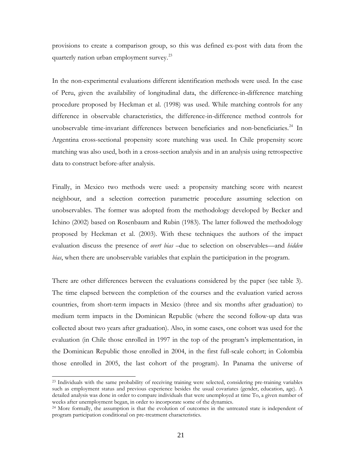<span id="page-22-0"></span>provisions to create a comparison group, so this was defined ex-post with data from the quarterly nation urban employment survey.<sup>[23](#page-22-0)</sup>

In the non-experimental evaluations different identification methods were used. In the case of Peru, given the availability of longitudinal data, the difference-in-difference matching procedure proposed by Heckman et al. (1998) was used. While matching controls for any difference in observable characteristics, the difference-in-difference method controls for unobservable time-invariant differences between beneficiaries and non-beneficiaries.<sup>[24](#page-22-0)</sup> In Argentina cross-sectional propensity score matching was used. In Chile propensity score matching was also used, both in a cross-section analysis and in an analysis using retrospective data to construct before-after analysis.

Finally, in Mexico two methods were used: a propensity matching score with nearest neighbour, and a selection correction parametric procedure assuming selection on unobservables. The former was adopted from the methodology developed by Becker and Ichino (2002) based on Rosenbaum and Rubin (1983). The latter followed the methodology proposed by Heckman et al. (2003). With these techniques the authors of the impact evaluation discuss the presence of *overt bias* –due to selection on observables—and *hidden bias*, when there are unobservable variables that explain the participation in the program.

There are other differences between the evaluations considered by the paper (see table 3). The time elapsed between the completion of the courses and the evaluation varied across countries, from short-term impacts in Mexico (three and six months after graduation) to medium term impacts in the Dominican Republic (where the second follow-up data was collected about two years after graduation). Also, in some cases, one cohort was used for the evaluation (in Chile those enrolled in 1997 in the top of the program's implementation, in the Dominican Republic those enrolled in 2004, in the first full-scale cohort; in Colombia those enrolled in 2005, the last cohort of the program). In Panama the universe of

<sup>&</sup>lt;sup>23</sup> Individuals with the same probability of receiving training were selected, considering pre-training variables such as employment status and previous experience besides the usual covariates (gender, education, age). A detailed analysis was done in order to compare individuals that were unemployed at time To, a given number of weeks after unemployment began, in order to incorporate some of the dynamics.<br><sup>24</sup> More formally, the assumption is that the evolution of outcomes in the untreated state is independent of

program participation conditional on pre-treatment characteristics.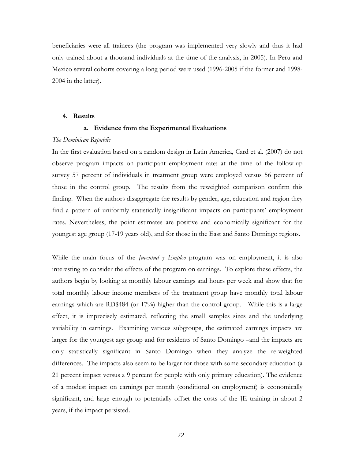beneficiaries were all trainees (the program was implemented very slowly and thus it had only trained about a thousand individuals at the time of the analysis, in 2005). In Peru and Mexico several cohorts covering a long period were used (1996-2005 if the former and 1998- 2004 in the latter).

#### **4. Results**

#### **a. Evidence from the Experimental Evaluations**

# *The Dominican Republic*

In the first evaluation based on a random design in Latin America, Card et al. (2007) do not observe program impacts on participant employment rate: at the time of the follow-up survey 57 percent of individuals in treatment group were employed versus 56 percent of those in the control group. The results from the reweighted comparison confirm this finding. When the authors disaggregate the results by gender, age, education and region they find a pattern of uniformly statistically insignificant impacts on participants' employment rates. Nevertheless, the point estimates are positive and economically significant for the youngest age group (17-19 years old), and for those in the East and Santo Domingo regions.

While the main focus of the *Juventud y Empleo* program was on employment, it is also interesting to consider the effects of the program on earnings. To explore these effects, the authors begin by looking at monthly labour earnings and hours per week and show that for total monthly labour income members of the treatment group have monthly total labour earnings which are RD\$484 (or 17%) higher than the control group. While this is a large effect, it is imprecisely estimated, reflecting the small samples sizes and the underlying variability in earnings. Examining various subgroups, the estimated earnings impacts are larger for the youngest age group and for residents of Santo Domingo –and the impacts are only statistically significant in Santo Domingo when they analyze the re-weighted differences. The impacts also seem to be larger for those with some secondary education (a 21 percent impact versus a 9 percent for people with only primary education). The evidence of a modest impact on earnings per month (conditional on employment) is economically significant, and large enough to potentially offset the costs of the JE training in about 2 years, if the impact persisted.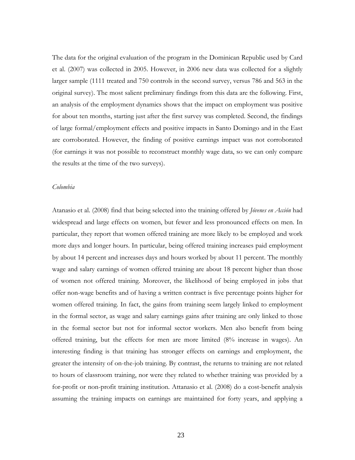The data for the original evaluation of the program in the Dominican Republic used by Card et al. (2007) was collected in 2005. However, in 2006 new data was collected for a slightly larger sample (1111 treated and 750 controls in the second survey, versus 786 and 563 in the original survey). The most salient preliminary findings from this data are the following. First, an analysis of the employment dynamics shows that the impact on employment was positive for about ten months, starting just after the first survey was completed. Second, the findings of large formal/employment effects and positive impacts in Santo Domingo and in the East are corroborated. However, the finding of positive earnings impact was not corroborated (for earnings it was not possible to reconstruct monthly wage data, so we can only compare the results at the time of the two surveys).

# *Colombia*

Atanasio et al. (2008) find that being selected into the training offered by *Jóvenes en Acción* had widespread and large effects on women, but fewer and less pronounced effects on men. In particular, they report that women offered training are more likely to be employed and work more days and longer hours. In particular, being offered training increases paid employment by about 14 percent and increases days and hours worked by about 11 percent. The monthly wage and salary earnings of women offered training are about 18 percent higher than those of women not offered training. Moreover, the likelihood of being employed in jobs that offer non-wage benefits and of having a written contract is five percentage points higher for women offered training. In fact, the gains from training seem largely linked to employment in the formal sector, as wage and salary earnings gains after training are only linked to those in the formal sector but not for informal sector workers. Men also benefit from being offered training, but the effects for men are more limited (8% increase in wages). An interesting finding is that training has stronger effects on earnings and employment, the greater the intensity of on-the-job training. By contrast, the returns to training are not related to hours of classroom training, nor were they related to whether training was provided by a for-profit or non-profit training institution. Attanasio et al. (2008) do a cost-benefit analysis assuming the training impacts on earnings are maintained for forty years, and applying a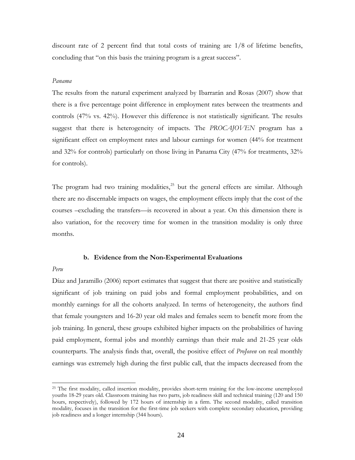<span id="page-25-0"></span>discount rate of 2 percent find that total costs of training are 1/8 of lifetime benefits, concluding that "on this basis the training program is a great success".

# *Panama*

The results from the natural experiment analyzed by Ibarrarán and Rosas (2007) show that there is a five percentage point difference in employment rates between the treatments and controls (47% vs. 42%). However this difference is not statistically significant. The results suggest that there is heterogeneity of impacts. The *PROCAJOVEN* program has a significant effect on employment rates and labour earnings for women (44% for treatment and 32% for controls) particularly on those living in Panama City (47% for treatments, 32% for controls).

The program had two training modalities, $25$  but the general effects are similar. Although there are no discernable impacts on wages, the employment effects imply that the cost of the courses –excluding the transfers—is recovered in about a year. On this dimension there is also variation, for the recovery time for women in the transition modality is only three months.

#### **b. Evidence from the Non-Experimental Evaluations**

# *Peru*

l

Díaz and Jaramillo (2006) report estimates that suggest that there are positive and statistically significant of job training on paid jobs and formal employment probabilities, and on monthly earnings for all the cohorts analyzed. In terms of heterogeneity, the authors find that female youngsters and 16-20 year old males and females seem to benefit more from the job training. In general, these groups exhibited higher impacts on the probabilities of having paid employment, formal jobs and monthly earnings than their male and 21-25 year olds counterparts. The analysis finds that, overall, the positive effect of *ProJoven* on real monthly earnings was extremely high during the first public call, that the impacts decreased from the

<sup>&</sup>lt;sup>25</sup> The first modality, called insertion modality, provides short-term training for the low-income unemployed youths 18-29 years old. Classroom training has two parts, job readiness skill and technical training (120 and 150 hours, respectively), followed by 172 hours of internship in a firm. The second modality, called transition modality, focuses in the transition for the first-time job seekers with complete secondary education, providing job readiness and a longer internship (344 hours).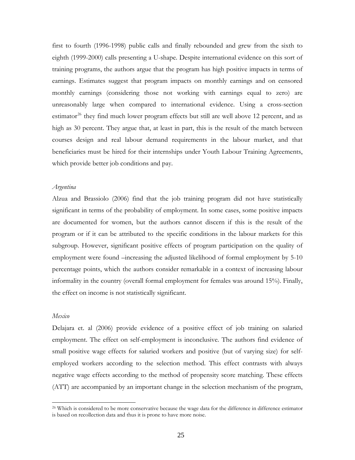<span id="page-26-0"></span>first to fourth (1996-1998) public calls and finally rebounded and grew from the sixth to eighth (1999-2000) calls presenting a U-shape. Despite international evidence on this sort of training programs, the authors argue that the program has high positive impacts in terms of earnings. Estimates suggest that program impacts on monthly earnings and on censored monthly earnings (considering those not working with earnings equal to zero) are unreasonably large when compared to international evidence. Using a cross-section estimator<sup>[26](#page-26-0)</sup> they find much lower program effects but still are well above 12 percent, and as high as 30 percent. They argue that, at least in part, this is the result of the match between courses design and real labour demand requirements in the labour market, and that beneficiaries must be hired for their internships under Youth Labour Training Agreements, which provide better job conditions and pay.

#### *Argentina*

Alzua and Brassiolo (2006) find that the job training program did not have statistically significant in terms of the probability of employment. In some cases, some positive impacts are documented for women, but the authors cannot discern if this is the result of the program or if it can be attributed to the specific conditions in the labour markets for this subgroup. However, significant positive effects of program participation on the quality of employment were found –increasing the adjusted likelihood of formal employment by 5-10 percentage points, which the authors consider remarkable in a context of increasing labour informality in the country (overall formal employment for females was around 15%). Finally, the effect on income is not statistically significant.

# *Mexico*

l

Delajara et. al (2006) provide evidence of a positive effect of job training on salaried employment. The effect on self-employment is inconclusive. The authors find evidence of small positive wage effects for salaried workers and positive (but of varying size) for selfemployed workers according to the selection method. This effect contrasts with always negative wage effects according to the method of propensity score matching. These effects (ATT) are accompanied by an important change in the selection mechanism of the program,

<sup>&</sup>lt;sup>26</sup> Which is considered to be more conservative because the wage data for the difference in difference estimator is based on recollection data and thus it is prone to have more noise.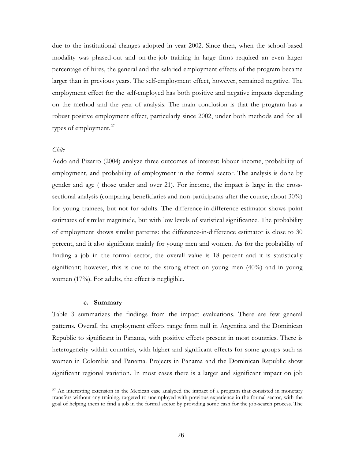<span id="page-27-0"></span>due to the institutional changes adopted in year 2002. Since then, when the school-based modality was phased-out and on-the-job training in large firms required an even larger percentage of hires, the general and the salaried employment effects of the program became larger than in previous years. The self-employment effect, however, remained negative. The employment effect for the self-employed has both positive and negative impacts depending on the method and the year of analysis. The main conclusion is that the program has a robust positive employment effect, particularly since 2002, under both methods and for all types of employment. $27$ 

#### *Chile*

l

Aedo and Pizarro (2004) analyze three outcomes of interest: labour income, probability of employment, and probability of employment in the formal sector. The analysis is done by gender and age ( those under and over 21). For income, the impact is large in the crosssectional analysis (comparing beneficiaries and non-participants after the course, about 30%) for young trainees, but not for adults. The difference-in-difference estimator shows point estimates of similar magnitude, but with low levels of statistical significance. The probability of employment shows similar patterns: the difference-in-difference estimator is close to 30 percent, and it also significant mainly for young men and women. As for the probability of finding a job in the formal sector, the overall value is 18 percent and it is statistically significant; however, this is due to the strong effect on young men (40%) and in young women (17%). For adults, the effect is negligible.

# **c. Summary**

Table 3 summarizes the findings from the impact evaluations. There are few general patterns. Overall the employment effects range from null in Argentina and the Dominican Republic to significant in Panama, with positive effects present in most countries. There is heterogeneity within countries, with higher and significant effects for some groups such as women in Colombia and Panama. Projects in Panama and the Dominican Republic show significant regional variation. In most cases there is a larger and significant impact on job

<sup>&</sup>lt;sup>27</sup> An interesting extension in the Mexican case analyzed the impact of a program that consisted in monetary transfers without any training, targeted to unemployed with previous experience in the formal sector, with the goal of helping them to find a job in the formal sector by providing some cash for the job-search process. The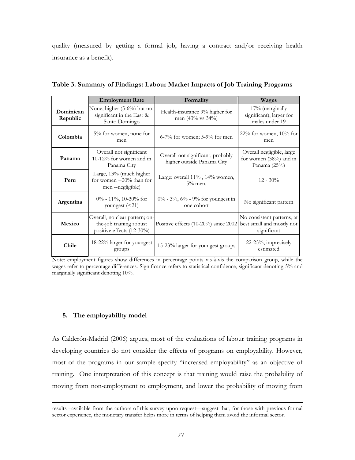quality (measured by getting a formal job, having a contract and/or receiving health insurance as a benefit).

|                       | <b>Employment Rate</b>                                                                 | Formality                                                       | Wages                                                                    |
|-----------------------|----------------------------------------------------------------------------------------|-----------------------------------------------------------------|--------------------------------------------------------------------------|
| Dominican<br>Republic | None, higher (5-6%) but not<br>significant in the East &<br>Santo Domingo              | Health-insurance 9% higher for<br>men (43% vs 34%)              | 17% (marginally<br>significant), larger for<br>males under 19            |
| Colombia              | 5% for women, none for<br>men                                                          | $6-7\%$ for women; $5-9\%$ for men                              | $22\%$ for women, $10\%$ for<br>men                                      |
| Panama                | Overall not significant<br>10-12% for women and in<br>Panama City                      | Overall not significant, probably<br>higher outside Panama City | Overall negligible, large<br>for women $(38%)$ and in<br>Panama $(25\%)$ |
| Peru                  | Large, 13% (much higher<br>for women --20% than for<br>men --negligible)               | Large: overall 11%, 14% women,<br>$5\%$ men.                    | $12 - 30\%$                                                              |
| Argentina             | $0\%$ - 11\%, 10-30\% for<br>youngest $(\leq 21)$                                      | $0\%$ - 3%, 6% - 9% for youngest in<br>one cohort               | No significant pattern                                                   |
| Mexico                | Overall, no clear pattern; on-<br>the-job training robust<br>positive effects (12-30%) | Positive effects $(10-20\%)$ since 2002                         | No consistent patterns, at<br>best small and mostly not<br>significant   |
| Chile                 | 18-22% larger for youngest<br>groups                                                   | 15-23% larger for youngest groups                               | 22-25%, imprecisely<br>estimated                                         |

**Table 3. Summary of Findings: Labour Market Impacts of Job Training Programs** 

Note: employment figures show differences in percentage points vis-à-vis the comparison group, while the wages refer to percentage differences. Significance refers to statistical confidence, significant denoting 5% and marginally significant denoting 10%.

## **5. The employability model**

l

As Calderón-Madrid (2006) argues, most of the evaluations of labour training programs in developing countries do not consider the effects of programs on employability. However, most of the programs in our sample specify "increased employability" as an objective of training. One interpretation of this concept is that training would raise the probability of moving from non-employment to employment, and lower the probability of moving from

results –available from the authors of this survey upon request—suggest that, for those with previous formal sector experience, the monetary transfer helps more in terms of helping them avoid the informal sector.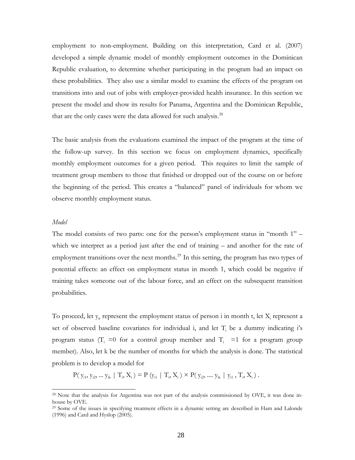<span id="page-29-0"></span>employment to non-employment. Building on this interpretation, Card et al. (2007) developed a simple dynamic model of monthly employment outcomes in the Dominican Republic evaluation, to determine whether participating in the program had an impact on these probabilities. They also use a similar model to examine the effects of the program on transitions into and out of jobs with employer-provided health insurance. In this section we present the model and show its results for Panama, Argentina and the Dominican Republic, that are the only cases were the data allowed for such analysis.<sup>[28](#page-29-0)</sup>

The basic analysis from the evaluations examined the impact of the program at the time of the follow-up survey. In this section we focus on employment dynamics, specifically monthly employment outcomes for a given period. This requires to limit the sample of treatment group members to those that finished or dropped out of the course on or before the beginning of the period. This creates a "balanced" panel of individuals for whom we observe monthly employment status.

## *Model*

l

The model consists of two parts: one for the person's employment status in "month 1" – which we interpret as a period just after the end of training – and another for the rate of employment transitions over the next months.<sup>[29](#page-29-0)</sup> In this setting, the program has two types of potential effects: an effect on employment status in month 1, which could be negative if training takes someone out of the labour force, and an effect on the subsequent transition probabilities.

To proceed, let  $y_i$  represent the employment status of person i in month t, let  $X_i$  represent a set of observed baseline covariates for individual i, and let  $T_i$  be a dummy indicating i's program status ( $T_i = 0$  for a control group member and  $T_i = 1$  for a program group member). Also, let k be the number of months for which the analysis is done. The statistical problem is to develop a model for

 $P(y_{i1}, y_{i2}, ..., y_{ik} | T_i, X_i) = P(y_{i1} | T_i, X_i) \times P(y_{i2}, ..., y_{ik} | y_{i1}, T_i, X_i).$ 

<sup>&</sup>lt;sup>28</sup> Note that the analysis for Argentina was not part of the analysis commissioned by OVE, it was done inhouse by OVE.

<sup>&</sup>lt;sup>29</sup> Some of the issues in specifying treatment effects in a dynamic setting are described in Ham and Lalonde (1996) and Card and Hyslop (2005).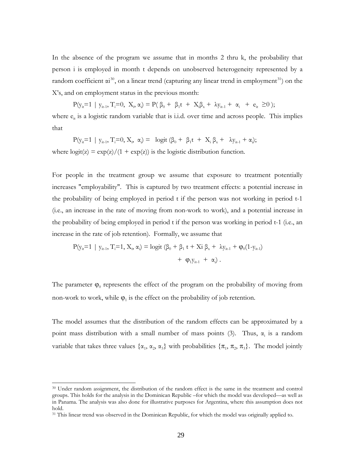<span id="page-30-0"></span>In the absence of the program we assume that in months 2 thru k, the probability that person i is employed in month t depends on unobserved heterogeneity represented by a random coefficient  $\alpha i^{30}$  $\alpha i^{30}$  $\alpha i^{30}$ , on a linear trend (capturing any linear trend in employment<sup>31</sup>) on the X's, and on employment status in the previous month:

 $P(y_{it} = 1 | y_{it-1}, T_i = 0, X_i, \alpha_i) = P(\beta_0 + \beta_1 t + X_i \beta_x + \lambda y_{it-1} + \alpha_i + e_{it} \ge 0);$ where  $e_{it}$  is a logistic random variable that is i.i.d. over time and across people. This implies that

 $P(y_{it} = 1 | y_{it-1}, T_i = 0, X_i, \alpha_i) = \logit (\beta_0 + \beta_1 t + X_i \beta_x + \lambda y_{it-1} + \alpha_i);$ where  $logit(z) = exp(z)/(1 + exp(z))$  is the logistic distribution function.

For people in the treatment group we assume that exposure to treatment potentially increases "employability". This is captured by two treatment effects: a potential increase in the probability of being employed in period t if the person was not working in period t-1 (i.e., an increase in the rate of moving from non-work to work), and a potential increase in the probability of being employed in period t if the person was working in period t-1 (i.e., an increase in the rate of job retention). Formally, we assume that

$$
P(y_{it} = 1 | y_{it-1}, T_i = 1, X_i, \alpha_i) = \text{logit} (\beta_0 + \beta_1 t + X_i \beta_x + \lambda y_{it-1} + \phi_0 (1 - y_{it-1}) + \phi_1 y_{it-1} + \alpha_i).
$$

The parameter  $\varphi_0$  represents the effect of the program on the probability of moving from non-work to work, while  $\varphi_1$  is the effect on the probability of job retention.

The model assumes that the distribution of the random effects can be approximated by a point mass distribution with a small number of mass points (3). Thus,  $\alpha_i$  is a random variable that takes three values  $\{\alpha_1, \alpha_2, \alpha_3\}$  with probabilities  $\{\pi_1, \pi_2, \pi_3\}$ . The model jointly

<sup>30</sup> Under random assignment, the distribution of the random effect is the same in the treatment and control groups. This holds for the analysis in the Dominican Republic –for which the model was developed—as well as in Panama. The analysis was also done for illustrative purposes for Argentina, where this assumption does not hold.

<sup>&</sup>lt;sup>31</sup> This linear trend was observed in the Dominican Republic, for which the model was originally applied to.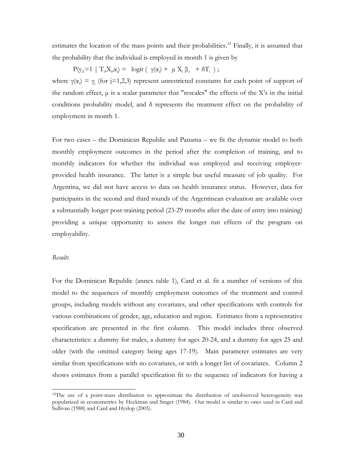<span id="page-31-0"></span>estimates the location of the mass points and their probabilities.<sup>[32](#page-31-0)</sup> Finally, it is assumed that the probability that the individual is employed in month 1 is given by

 $P(y_{i1}=1 \mid T_i, X_i, \alpha_i) = \logit(\gamma(\alpha_i) + \mu X_i \beta_x + \delta T_i);$ where  $\gamma(\alpha_i) = \gamma_i$  (for j=1,2,3) represent unrestricted constants for each point of support of

the random effect,  $\mu$  is a scalar parameter that "rescales" the effects of the X's in the initial conditions probability model, and δ represents the treatment effect on the probability of employment in month 1.

For two cases – the Dominican Republic and Panama – we fit the dynamic model to both monthly employment outcomes in the period after the completion of training, and to monthly indicators for whether the individual was employed and receiving employerprovided health insurance. The latter is a simple but useful measure of job quality. For Argentina, we did not have access to data on health insurance status. However, data for participants in the second and third rounds of the Argentinean evaluation are available over a substantially longer post-training period (23-29 months after the date of entry into training) providing a unique opportunity to assess the longer run effects of the program on employability.

#### *Results*

l

For the Dominican Republic (annex table 1), Card et al. fit a number of versions of this model to the sequences of monthly employment outcomes of the treatment and control groups, including models without any covariates, and other specifications with controls for various combinations of gender, age, education and region. Estimates from a representative specification are presented in the first column. This model includes three observed characteristics: a dummy for males, a dummy for ages 20-24, and a dummy for ages 25 and older (with the omitted category being ages 17-19). Main parameter estimates are very similar from specifications with no covariates, or with a longer list of covariates. Column 2 shows estimates from a parallel specification fit to the sequence of indicators for having a

<sup>&</sup>lt;sup>32</sup>The use of a point-mass distribution to approximate the distribution of unobserved heterogeneity was popularized in econometrics by Heckman and Singer (1984). Our model is similar to ones used in Card and Sullivan (1988) and Card and Hyslop (2005).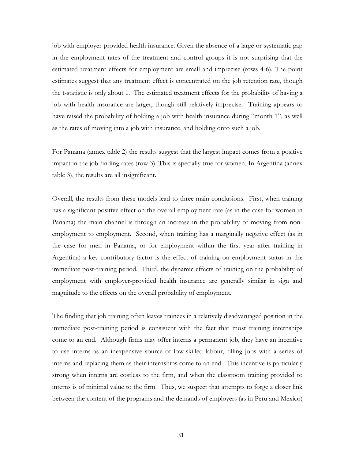job with employer-provided health insurance. Given the absence of a large or systematic gap in the employment rates of the treatment and control groups it is not surprising that the estimated treatment effects for employment are small and imprecise (rows 4-6). The point estimates suggest that any treatment effect is concentrated on the job retention rate, though the t-statistic is only about 1. The estimated treatment effects for the probability of having a job with health insurance are larger, though still relatively imprecise. Training appears to have raised the probability of holding a job with health insurance during "month 1", as well as the rates of moving into a job with insurance, and holding onto such a job.

For Panama (annex table 2) the results suggest that the largest impact comes from a positive impact in the job finding rates (row 3). This is specially true for women. In Argentina (annex table 3), the results are all insignificant.

Overall, the results from these models lead to three main conclusions. First, when training has a significant positive effect on the overall employment rate (as in the case for women in Panama) the main channel is through an increase in the probability of moving from nonemployment to employment. Second, when training has a marginally negative effect (as in the case for men in Panama, or for employment within the first year after training in Argentina) a key contributory factor is the effect of training on employment status in the immediate post-training period. Third, the dynamic effects of training on the probability of employment with employer-provided health insurance are generally similar in sign and magnitude to the effects on the overall probability of employment.

The finding that job training often leaves trainees in a relatively disadvantaged position in the immediate post-training period is consistent with the fact that most training internships come to an end. Although firms may offer interns a permanent job, they have an incentive to use interns as an inexpensive source of low-skilled labour, filling jobs with a series of interns and replacing them as their internships come to an end. This incentive is particularly strong when interns are costless to the firm, and when the classroom training provided to interns is of minimal value to the firm. Thus, we suspect that attempts to forge a closer link between the content of the programs and the demands of employers (as in Peru and Mexico)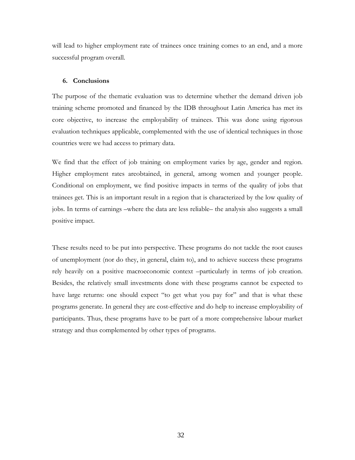will lead to higher employment rate of trainees once training comes to an end, and a more successful program overall.

# **6. Conclusions**

The purpose of the thematic evaluation was to determine whether the demand driven job training scheme promoted and financed by the IDB throughout Latin America has met its core objective, to increase the employability of trainees. This was done using rigorous evaluation techniques applicable, complemented with the use of identical techniques in those countries were we had access to primary data.

We find that the effect of job training on employment varies by age, gender and region. Higher employment rates areobtained, in general, among women and younger people. Conditional on employment, we find positive impacts in terms of the quality of jobs that trainees get. This is an important result in a region that is characterized by the low quality of jobs. In terms of earnings –where the data are less reliable– the analysis also suggests a small positive impact.

These results need to be put into perspective. These programs do not tackle the root causes of unemployment (nor do they, in general, claim to), and to achieve success these programs rely heavily on a positive macroeconomic context –particularly in terms of job creation. Besides, the relatively small investments done with these programs cannot be expected to have large returns: one should expect "to get what you pay for" and that is what these programs generate. In general they are cost-effective and do help to increase employability of participants. Thus, these programs have to be part of a more comprehensive labour market strategy and thus complemented by other types of programs.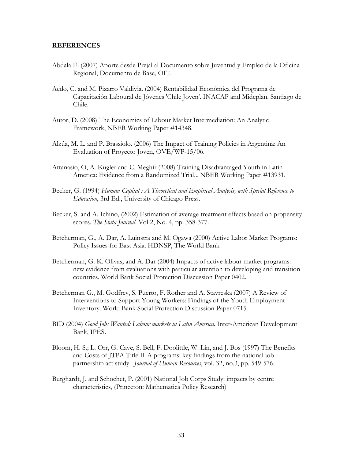## **REFERENCES**

- Abdala E. (2007) Aporte desde Prejal al Documento sobre Juventud y Empleo de la Oficina Regional, Documento de Base, OIT.
- Aedo, C. and M. Pizarro Valdivia. (2004) Rentabilidad Económica del Programa de Capacitación Laboural de Jóvenes 'Chile Joven'. INACAP and Mideplan. Santiago de Chile.
- Autor, D. (2008) The Economics of Labour Market Intermediation: An Analytic Framework, NBER Working Paper #14348.
- Alzúa, M. L. and P. Brassiolo. (2006) The Impact of Training Policies in Argentina: An Evaluation of Proyecto Joven, OVE/WP-15/06.
- Attanasio, O, A. Kugler and C. Meghir (2008) Training Disadvantaged Youth in Latin America: Evidence from a Randomized Trial,., NBER Working Paper #13931.
- Becker, G. (1994) *Human Capital : A Theoretical and Empirical Analysis, with Special Reference to Education*, 3rd Ed., University of Chicago Press.
- Becker, S. and A. Ichino, (2002) Estimation of average treatment effects based on propensity scores. *The Stata Journal*. Vol 2, No. 4, pp. 358-377.
- Betcherman, G., A. Dar, A. Luinstra and M. Ogawa (2000) Active Labor Market Programs: Policy Issues for East Asia. HDNSP, The World Bank
- Betcherman, G. K. Olivas, and A. Dar (2004) Impacts of active labour market programs: new evidence from evaluations with particular attention to developing and transition countries. World Bank Social Protection Discussion Paper 0402.
- Betcherman G., M. Godfrey, S. Puerto, F. Rother and A. Stavreska (2007) A Review of Interventions to Support Young Workers: Findings of the Youth Employment Inventory. World Bank Social Protection Discussion Paper 0715
- BID (2004) *Good Jobs Wanted: Labour markets in Latin America*. Inter-American Development Bank, IPES.
- Bloom, H. S.; L. Orr, G. Cave, S. Bell, F. Doolittle, W. Lin, and J. Bos (1997) The Benefits and Costs of JTPA Title II-A programs: key findings from the national job partnership act study. *Journal of Human Resources*, vol. 32, no.3, pp. 549-576.
- Burghardt, J. and Schochet, P. (2001) National Job Corps Study: impacts by centre characteristics, (Princeton: Mathematica Policy Research)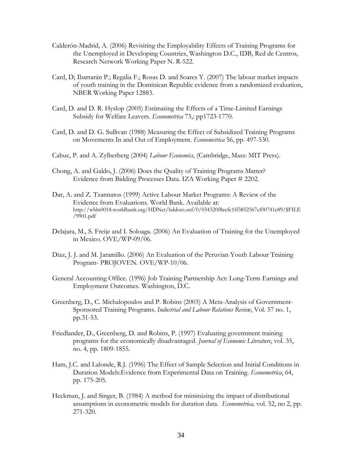- Calderón-Madrid, A. (2006) Revisiting the Employability Effects of Training Programs for the Unemployed in Developing Countries, Washington D.C., IDB, Red de Centros, Research Network Working Paper N. R-522.
- Card, D; Ibarrarán P.; Regalia F.; Rosas D. and Soares Y. (2007) The labour market impacts of youth training in the Dominican Republic evidence from a randomized evaluation, NBER Working Paper 12883.
- Card, D. and D. R. Hyslop (2005) Estimating the Effects of a Time-Limited Earnings Subsidy for Welfare Leavers. *Econometrica* 73,: pp1723-1770.
- Card, D. and D. G. Sullivan (1988) Measuring the Effect of Subsidized Training Programs on Movements In and Out of Employment. *Econometrica* 56, pp. 497-530.
- Cahuc, P. and A. Zylberberg (2004) *Labour Economics*, (Cambridge, Mass: MIT Press).
- Chong, A. and Galdo, J. (2006) Does the Quality of Training Programs Matter? Evidence from Bidding Processes Data. IZA Working Paper # 2202.
- Dar, A. and Z. Tzannatos (1999) Active Labour Market Programs: A Review of the Evidence from Evaluations. World Bank. Available at: http://wbln0018.worldbank.org/HDNet/hddocs.nsf/0/034320f8ecfc1ff3852567cf00741c89/\$FILE /9901.pdf
- Delajara, M., S. Freije and I. Soloaga. (2006) An Evaluation of Training for the Unemployed in Mexico. OVE/WP-09/06.
- Diaz, J. J. and M. Jaramillo. (2006) An Evaluation of the Peruvian Youth Labour Training Program- PROJOVEN. OVE/WP-10/06.
- General Accounting Office. (1996) Job Training Partnership Act: Long-Term Earnings and Employment Outcomes. Washington, D.C.
- Greenberg, D., C. Michalopoulos and P. Robins (2003) A Meta-Analysis of Government-Sponsored Training Programs. *Industrial and Labour Relations Review*, Vol. 57 no. 1, pp.31-53.
- Friedlander, D., Greenberg, D. and Robins, P. (1997) Evaluating government training programs for the economically disadvantaged. *Journal of Economic Literature*, vol. 35, no. 4, pp. 1809-1855.
- Ham, J.C. and Lalonde, R.J. (1996) The Effect of Sample Selection and Initial Conditions in Duration Models:Evidence from Experimental Data on Training. *Econometrica*, 64, pp. 175-205.
- Heckman, J. and Singer, B. (1984) A method for minimizing the impact of distributional assumptions in econometric models for duration data. *Econometrica,* vol. 52, no 2, pp. 271-320.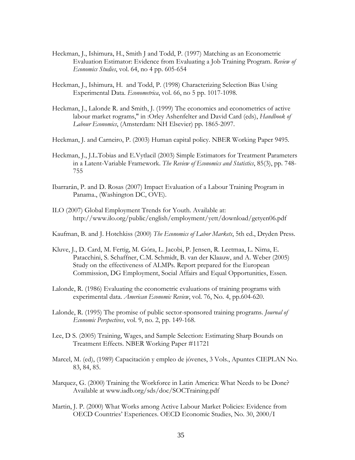- Heckman, J., Ishimura, H., Smith J and Todd, P. (1997) Matching as an Econometric Evaluation Estimator: Evidence from Evaluating a Job Training Program. *Review of Economics Studies*, vol. 64, no 4 pp. 605-654
- Heckman, J., Ishimura, H. and Todd, P. (1998) Characterizing Selection Bias Using Experimental Data. *Econometrica*, vol. 66, no 5 pp. 1017-1098.
- Heckman, J., Lalonde R. and Smith, J. (1999) The economics and econometrics of active labour market rograms," in :Orley Ashenfelter and David Card (eds), *Handbook of Labour Economics*, (Amsterdam: NH Elsevier) pp. 1865-2097.
- Heckman, J. and Carneiro, P. (2003) Human capital policy. NBER Working Paper 9495.
- Heckman, J., J.L.Tobias and E.Vytlacil (2003) Simple Estimators for Treatment Parameters in a Latent-Variable Framework. *The Review of Economics and Statistics*, 85(3), pp. 748- 755
- Ibarrarán, P. and D. Rosas (2007) Impact Evaluation of a Labour Training Program in Panama., (Washington DC, OVE).
- ILO (2007) Global Employment Trends for Youth. Available at: http://www.ilo.org/public/english/employment/yett/download/getyen06.pdf
- Kaufman, B. and J. Hotchkiss (2000) *The Economics of Labor Markets*, 5th ed., Dryden Press.
- Kluve, J., D. Card, M. Fertig, M. Góra, L. Jacobi, P. Jensen, R. Leetmaa, L. Nima, E. Patacchini, S. Schaffner, C.M. Schmidt, B. van der Klaauw, and A. Weber (2005) Study on the effectiveness of ALMPs. Report prepared for the European Commission, DG Employment, Social Affairs and Equal Opportunities, Essen.
- Lalonde, R. (1986) Evaluating the econometric evaluations of training programs with experimental data. *American Economic Review*, vol. 76, No. 4, pp.604-620.
- Lalonde, R. (1995) The promise of public sector-sponsored training programs. *Journal of Economic Perspectives*, vol. 9, no. 2, pp. 149-168.
- Lee, D S. (2005) Training, Wages, and Sample Selection: Estimating Sharp Bounds on Treatment Effects. NBER Working Paper #11721
- Marcel, M. (ed), (1989) Capacitación y empleo de jóvenes, 3 Vols., Apuntes CIEPLAN No. 83, 84, 85.
- Marquez, G. (2000) Training the Workforce in Latin America: What Needs to be Done? Available at www.iadb.org/sds/doc/SOCTraining.pdf
- Martin, J. P. (2000) What Works among Active Labour Market Policies: Evidence from OECD Countries' Experiences. OECD Economic Studies, No. 30, 2000/I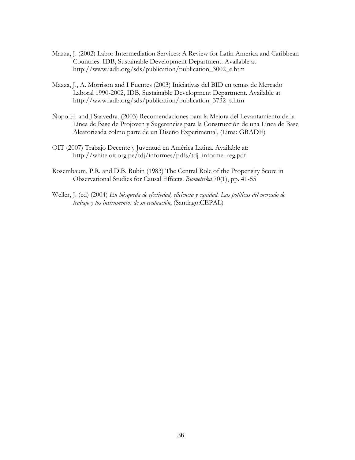- Mazza, J. (2002) Labor Intermediation Services: A Review for Latin America and Caribbean Countries. IDB, Sustainable Development Department. Available at http://www.iadb.org/sds/publication/publication\_3002\_e.htm
- Mazza, J., A. Morrison and I Fuentes (2003) Iniciativas del BID en temas de Mercado Laboral 1990-2002, IDB, Sustainable Development Department. Available at http://www.iadb.org/sds/publication/publication\_3732\_s.htm
- Ñopo H. and J.Saavedra. (2003) Recomendaciones para la Mejora del Levantamiento de la Línea de Base de Projoven y Sugerencias para la Construcción de una Línea de Base Aleatorizada colmo parte de un Diseño Experimental, (Lima: GRADE)
- OIT (2007) Trabajo Decente y Juventud en América Latina. Available at: http://white.oit.org.pe/tdj/informes/pdfs/tdj\_informe\_reg.pdf
- Rosembaum, P.R. and D.B. Rubin (1983) The Central Role of the Propensity Score in Observational Studies for Causal Effects. *Biometrika* 70(1), pp. 41-55
- Weller, J. (ed) (2004) *En búsqueda de efectivdad, eficiencia y equidad. Las políticas del mercado de trabajo y los instrumentos de su evaluación*, (Santiago:CEPAL)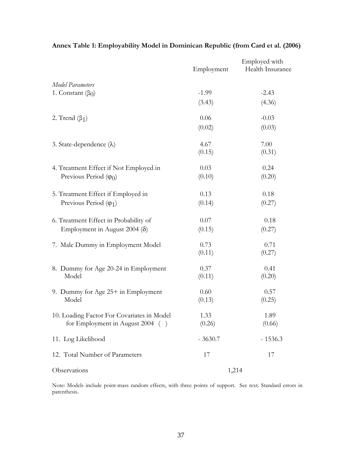|                                            | Employment | Employed with<br>Health Insurance |
|--------------------------------------------|------------|-----------------------------------|
| <b>Model Parameters</b>                    |            |                                   |
| 1. Constant $(\beta_0)$                    | $-1.99$    | $-2.43$                           |
|                                            | (3.43)     | (4.36)                            |
| 2. Trend $(\beta_1)$                       | 0.06       | $-0.03$                           |
|                                            | (0.02)     | (0.03)                            |
| 3. State-dependence $(\lambda)$            | 4.67       | 7.00                              |
|                                            | (0.15)     | (0.31)                            |
| 4. Treatment Effect if Not Employed in     | 0.03       | 0.24                              |
| Previous Period $(\varphi_0)$              | (0.10)     | (0.20)                            |
| 5. Treatment Effect if Employed in         | 0.13       | 0.18                              |
| Previous Period $(\varphi_1)$              | (0.14)     | (0.27)                            |
| 6. Treatment Effect in Probability of      | 0.07       | 0.18                              |
| Employment in August 2004 ( $\delta$ )     | (0.15)     | (0.27)                            |
| 7. Male Dummy in Employment Model          | 0.73       | 0.71                              |
|                                            | (0.11)     | (0.27)                            |
| 8. Dummy for Age 20-24 in Employment       | 0.37       | 0.41                              |
| Model                                      | (0.11)     | (0.20)                            |
| 9. Dummy for Age 25+ in Employment         | 0.60       | 0.57                              |
| Model                                      | (0.13)     | (0.25)                            |
| 10. Loading Factor For Covariates in Model | 1.33       | 1.89                              |
| for Employment in August 2004 ()           | (0.26)     | (0.66)                            |
| 11. Log Likelihood                         | $-3630.7$  | $-1536.3$                         |
| 12. Total Number of Parameters             | 17         | 17                                |
| Observations                               | 1,214      |                                   |

# **Annex Table 1: Employability Model in Dominican Republic (from Card et al. (2006)**

Note: Models include point-mass random effects, with three points of support. See text. Standard errors in parenthesis.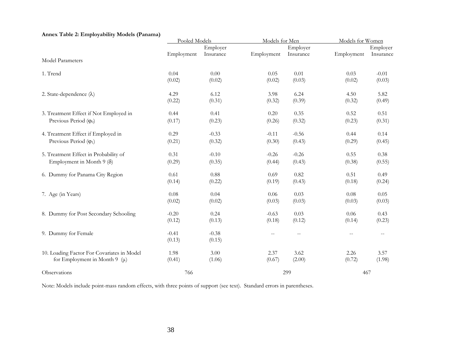# **Annex Table 2: Employability Models (Panama)**

|                                            | Pooled Models |           | Models for Men |                                               | Models for Women |           |
|--------------------------------------------|---------------|-----------|----------------|-----------------------------------------------|------------------|-----------|
|                                            |               | Employer  |                | Employer                                      |                  | Employer  |
|                                            | Employment    | Insurance | Employment     | Insurance                                     | Employment       | Insurance |
| Model Parameters                           |               |           |                |                                               |                  |           |
| 1. Trend                                   | 0.04          | $0.00\,$  | 0.05           | 0.01                                          | 0.03             | $-0.01$   |
|                                            | (0.02)        | (0.02)    | (0.02)         | (0.03)                                        | (0.02)           | (0.03)    |
| 2. State-dependence ( $\lambda$ )          | 4.29          | 6.12      | 3.98           | 6.24                                          | 4.50             | 5.82      |
|                                            | (0.22)        | (0.31)    | (0.32)         | (0.39)                                        | (0.32)           | (0.49)    |
| 3. Treatment Effect if Not Employed in     | 0.44          | 0.41      | 0.20           | 0.35                                          | 0.52             | 0.51      |
| Previous Period $(\varphi_0)$              | (0.17)        | (0.23)    | (0.26)         | (0.32)                                        | (0.23)           | (0.31)    |
| 4. Treatment Effect if Employed in         | 0.29          | $-0.33$   | $-0.11$        | $-0.56$                                       | 0.44             | 0.14      |
| Previous Period $(\varphi_1)$              | (0.21)        | (0.32)    | (0.30)         | (0.43)                                        | (0.29)           | (0.45)    |
| 5. Treatment Effect in Probability of      | 0.31          | $-0.10$   | $-0.26$        | $-0.26$                                       | 0.55             | 0.38      |
| Employment in Month 9 $(\delta)$           | (0.29)        | (0.35)    | (0.44)         | (0.43)                                        | (0.38)           | (0.55)    |
| 6. Dummy for Panama City Region            | 0.61          | 0.88      | 0.69           | 0.82                                          | 0.51             | 0.49      |
|                                            | (0.14)        | (0.22)    | (0.19)         | (0.43)                                        | (0.18)           | (0.24)    |
| 7. Age (in Years)                          | 0.08          | 0.04      | 0.06           | 0.03                                          | 0.08             | 0.05      |
|                                            | (0.02)        | (0.02)    | (0.03)         | (0.03)                                        | (0.03)           | (0.03)    |
| 8. Dummy for Post Secondary Schooling      | $-0.20$       | 0.24      | $-0.63$        | 0.03                                          | 0.06             | 0.43      |
|                                            | (0.12)        | (0.13)    | (0.18)         | (0.12)                                        | (0.14)           | (0.23)    |
| 9. Dummy for Female                        | $-0.41$       | $-0.38$   | $-$            | $\mathord{\hspace{1pt}\text{--}\hspace{1pt}}$ | $- -$            | $-\,-$    |
|                                            | (0.13)        | (0.15)    |                |                                               |                  |           |
| 10. Loading Factor For Covariates in Model | 1.98          | 3.00      | 2.37           | 3.62                                          | 2.26             | 3.57      |
| for Employment in Month 9 $(\mu)$          | (0.41)        | (1.06)    | (0.67)         | (2.00)                                        | (0.72)           | (1.98)    |
| Observations                               | 766           |           |                | 299                                           | 467              |           |

Note: Models include point-mass random effects, with three points of support (see text). Standard errors in parentheses.